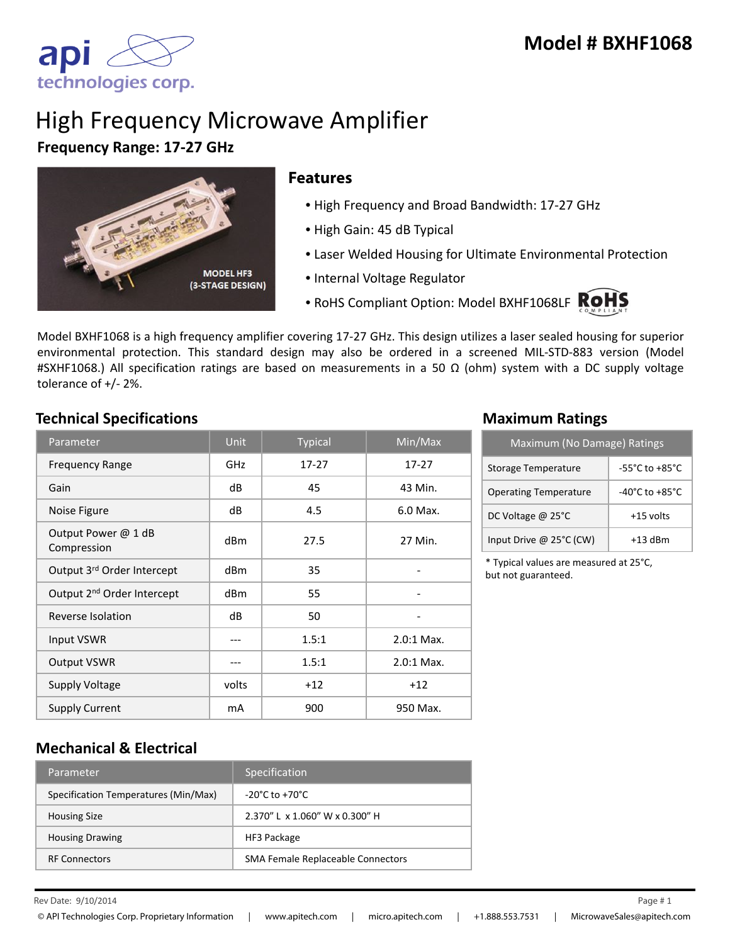apı technologies corp.

# High Frequency Microwave Amplifier

#### **Frequency Range: 17‐27 GHz**



#### **Features**

- High Frequency and Broad Bandwidth: 17‐27 GHz
- High Gain: 45 dB Typical
- Laser Welded Housing for Ultimate Environmental Protection
- Internal Voltage Regulator
- RoHS Compliant Option: Model BXHF1068LF ROHS

Model BXHF1068 is a high frequency amplifier covering 17‐27 GHz. This design utilizes a laser sealed housing for superior environmental protection. This standard design may also be ordered in a screened MIL‐STD‐883 version (Model #SXHF1068.) All specification ratings are based on measurements in a 50  $\Omega$  (ohm) system with a DC supply voltage tolerance of +/‐ 2%.

## **Technical Specifications Maximum Ratings**

| Parameter                              | <b>Unit</b>     | <b>Typical</b> | Min/Max                      |
|----------------------------------------|-----------------|----------------|------------------------------|
| <b>Frequency Range</b>                 | GHz             | $17 - 27$      | $17 - 27$                    |
| Gain                                   | dB              | 45             | 43 Min.                      |
| Noise Figure                           | dB              | 4.5            | 6.0 Max.                     |
| Output Power @ 1 dB<br>Compression     | dB <sub>m</sub> | 27.5           | 27 Min.                      |
| Output 3rd Order Intercept             | dBm             | 35             | -                            |
| Output 2 <sup>nd</sup> Order Intercept | dBm             | 55             | $\qquad \qquad \blacksquare$ |
| Reverse Isolation                      | dB              | 50             |                              |
| Input VSWR                             | ---             | 1.5:1          | $2.0:1$ Max.                 |
| <b>Output VSWR</b>                     |                 | 1.5:1          | $2.0:1$ Max.                 |
| <b>Supply Voltage</b>                  | volts           | $+12$          | $+12$                        |
| Supply Current                         | mA              | 900            | 950 Max.                     |

| Maximum (No Damage) Ratings  |                                    |  |
|------------------------------|------------------------------------|--|
| Storage Temperature          | $-55^{\circ}$ C to $+85^{\circ}$ C |  |
| <b>Operating Temperature</b> | $-40^{\circ}$ C to $+85^{\circ}$ C |  |
| DC Voltage $@$ 25 $°C$       | +15 volts                          |  |
| Input Drive @ 25°C (CW)      | $+13$ dBm                          |  |

\* Typical values are measured at 25°C, but not guaranteed.

## **Mechanical & Electrical**

| Parameter                            | <b>Specification</b>               |
|--------------------------------------|------------------------------------|
| Specification Temperatures (Min/Max) | $-20^{\circ}$ C to $+70^{\circ}$ C |
| <b>Housing Size</b>                  | 2.370" L x 1.060" W x 0.300" H     |
| <b>Housing Drawing</b>               | HF3 Package                        |
| <b>RF Connectors</b>                 | SMA Female Replaceable Connectors  |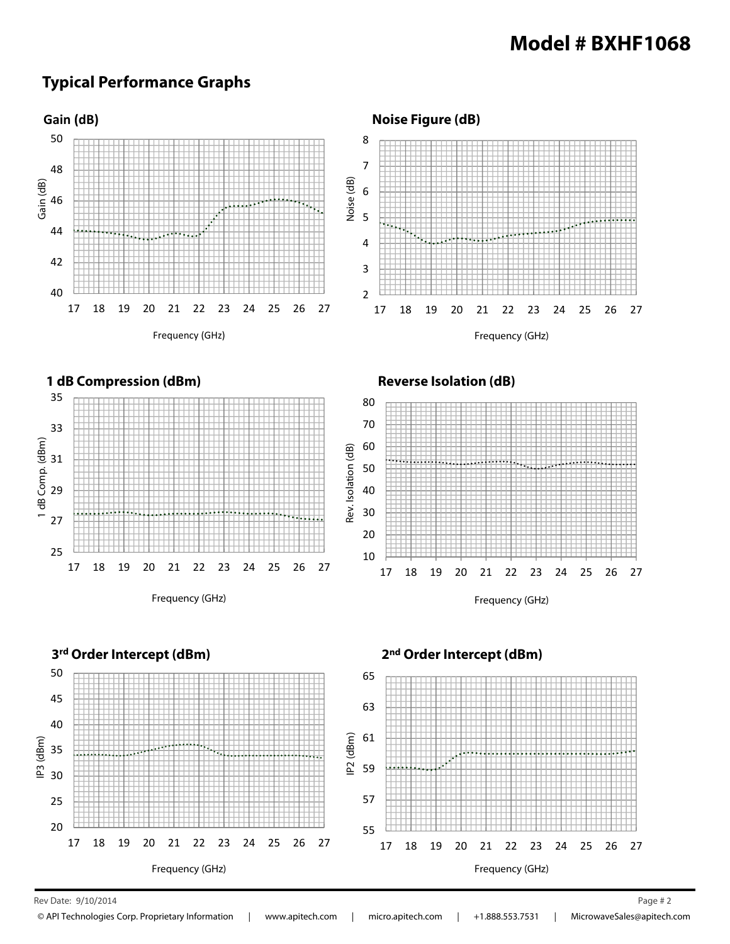# **Typical Performance Graphs**



Rev Date: 9/10/2014 Page # 2